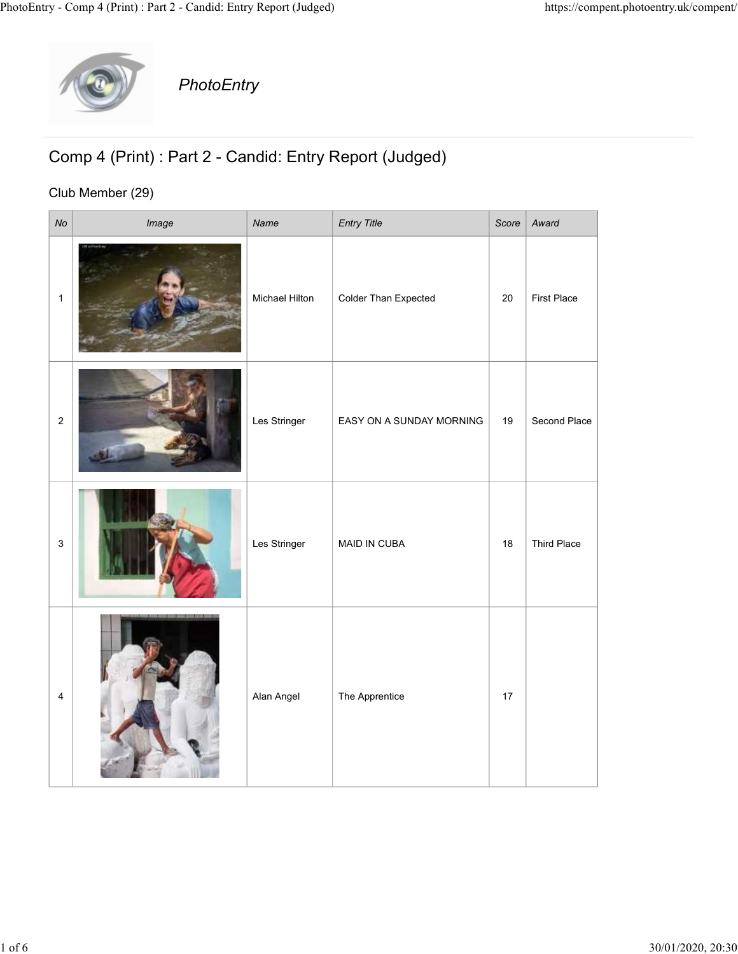

## Comp 4 (Print) : Part 2 - Candid: Entry Report (Judged)

## Club Member (29)

|                         | y - Comp 4 (Print) : Part 2 - Candid: Entry Report (Judged) |                |                          |        |              | https://compent.photoentry.uk/compent/ |
|-------------------------|-------------------------------------------------------------|----------------|--------------------------|--------|--------------|----------------------------------------|
|                         | PhotoEntry                                                  |                |                          |        |              |                                        |
|                         | Comp 4 (Print) : Part 2 - Candid: Entry Report (Judged)     |                |                          |        |              |                                        |
| $N$ o                   | Club Member (29)<br>Image                                   | Name           | <b>Entry Title</b>       | Score  | Award        |                                        |
| $\overline{1}$          |                                                             | Michael Hilton | Colder Than Expected     | $20\,$ | First Place  |                                        |
| $\overline{\mathbf{c}}$ |                                                             | Les Stringer   | EASY ON A SUNDAY MORNING | 19     | Second Place |                                        |
| $\mathbf{3}$            |                                                             | Les Stringer   | MAID IN CUBA             | 18     | Third Place  |                                        |
| $\overline{\mathbf{4}}$ |                                                             | Alan Angel     | The Apprentice           | 17     |              |                                        |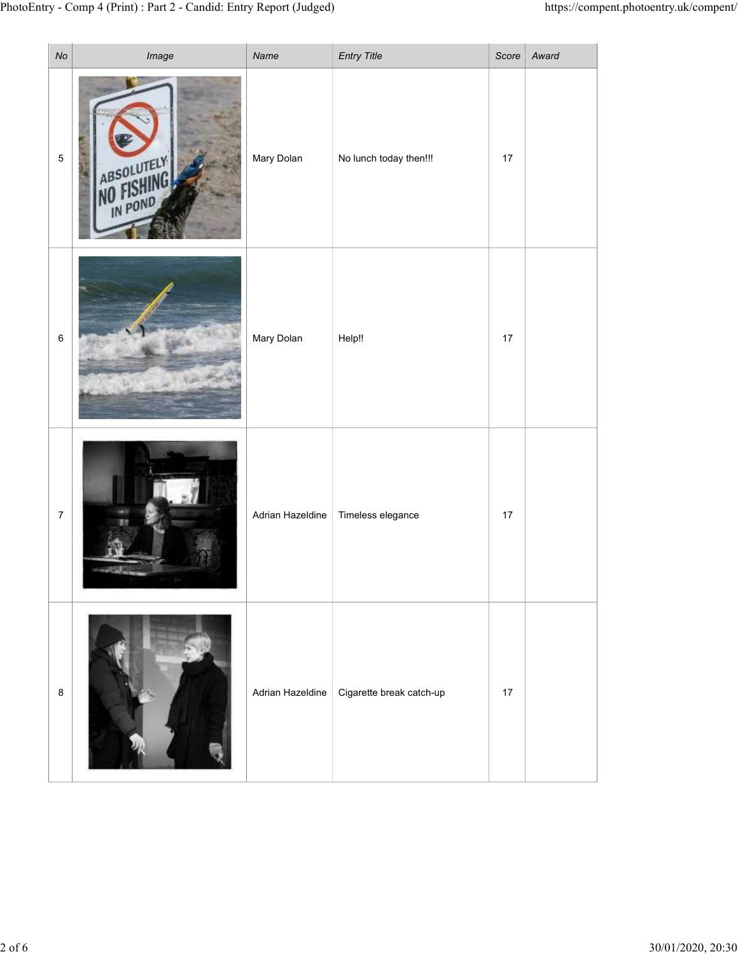| $\mathsf{No}$   | y - Comp 4 (Print) : Part 2 - Candid: Entry Report (Judged)<br>Image | Name             | Entry Title              |      | https://compent.photoentry.uk/compent/<br>Score   Award |
|-----------------|----------------------------------------------------------------------|------------------|--------------------------|------|---------------------------------------------------------|
| $\overline{5}$  | ABSOLUTELY                                                           | Mary Dolan       | No lunch today then!!!   | $17$ |                                                         |
| $6\phantom{.}6$ |                                                                      | Mary Dolan       | Help!!                   | 17   |                                                         |
| $\overline{7}$  |                                                                      | Adrian Hazeldine | Timeless elegance        | 17   |                                                         |
| $\bf8$          |                                                                      | Adrian Hazeldine | Cigarette break catch-up | 17   |                                                         |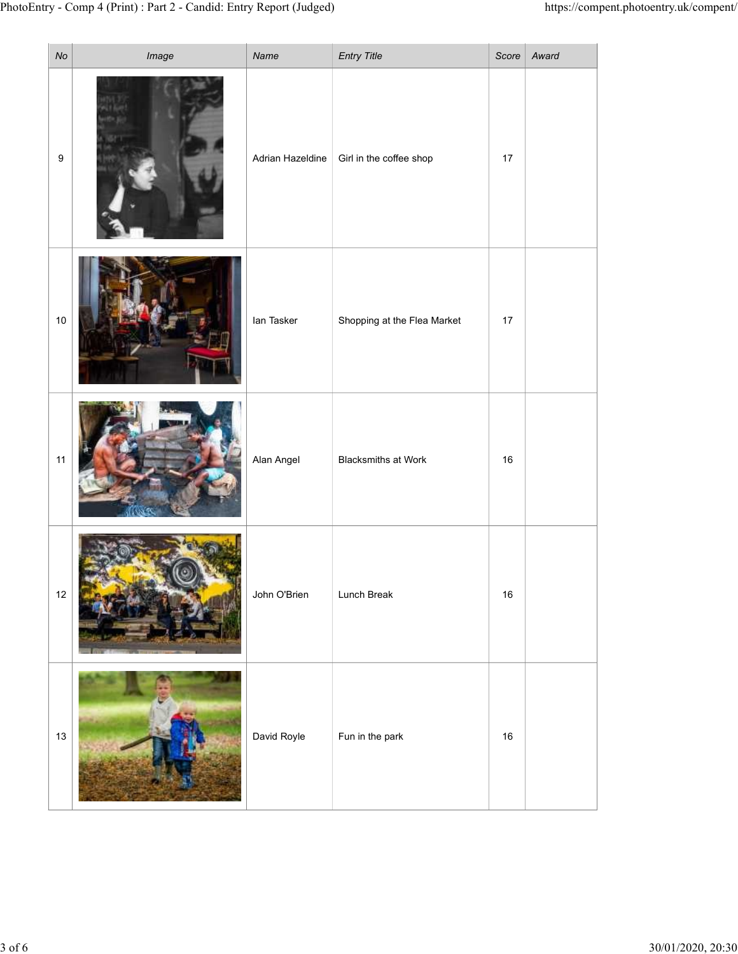|                  |                                             |                             |                                                                                                        | https://compent.photoentry.uk/compent/ |
|------------------|---------------------------------------------|-----------------------------|--------------------------------------------------------------------------------------------------------|----------------------------------------|
|                  |                                             | Girl in the coffee shop     | 17                                                                                                     |                                        |
|                  | lan Tasker                                  | Shopping at the Flea Market | 17                                                                                                     |                                        |
|                  | Alan Angel                                  | <b>Blacksmiths at Work</b>  | 16                                                                                                     |                                        |
|                  | John O'Brien                                | Lunch Break                 | 16                                                                                                     |                                        |
|                  | David Royle                                 | Fun in the park             | $16\,$                                                                                                 |                                        |
| $\boldsymbol{9}$ | No<br>Image<br>$10\,$<br>$11$<br>$12$<br>13 | Name                        | ry - Comp 4 (Print) : Part 2 - Candid: Entry Report (Judged)<br><b>Entry Title</b><br>Adrian Hazeldine | Score   Award                          |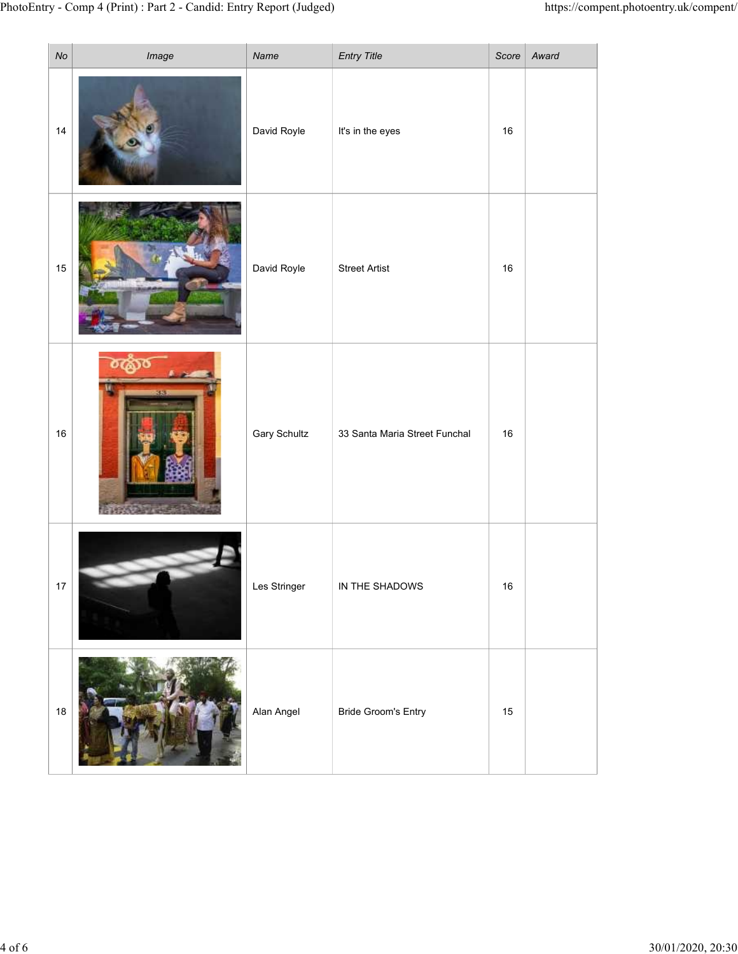|                      | y - Comp 4 (Print) : Part 2 - Candid: Entry Report (Judged) |                     |                                 |             | https://compent.photoentry.uk/compent/ |
|----------------------|-------------------------------------------------------------|---------------------|---------------------------------|-------------|----------------------------------------|
| N <sub>O</sub><br>14 | Image                                                       | Name<br>David Royle | Entry Title<br>It's in the eyes | Score<br>16 | Award                                  |
| 15                   |                                                             | David Royle         | <b>Street Artist</b>            | 16          |                                        |
| $16\,$               |                                                             | <b>Gary Schultz</b> | 33 Santa Maria Street Funchal   | 16          |                                        |
| $17$                 |                                                             | Les Stringer        | IN THE SHADOWS                  | 16          |                                        |
| 18                   |                                                             | Alan Angel          | <b>Bride Groom's Entry</b>      | 15          |                                        |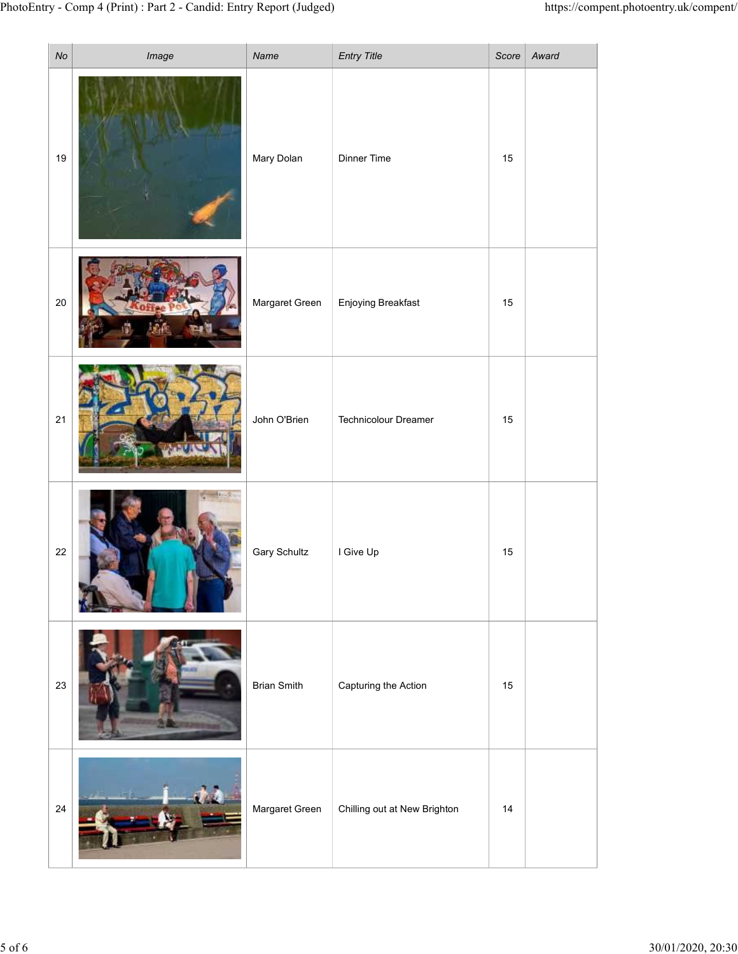|                | ry - Comp 4 (Print) : Part 2 - Candid: Entry Report (Judged) |                     |                              |    |               | https://compent.photoentry.uk/compent/ |
|----------------|--------------------------------------------------------------|---------------------|------------------------------|----|---------------|----------------------------------------|
| $\mathcal{N}o$ | Image                                                        | Name                | Entry Title                  |    | Score   Award |                                        |
| 19             |                                                              | Mary Dolan          | Dinner Time                  | 15 |               |                                        |
| $20\,$         |                                                              | Margaret Green      | Enjoying Breakfast           | 15 |               |                                        |
| $21$           |                                                              | John O'Brien        | Technicolour Dreamer         | 15 |               |                                        |
| $22\,$         |                                                              | <b>Gary Schultz</b> | I Give Up                    | 15 |               |                                        |
| 23             |                                                              | <b>Brian Smith</b>  | Capturing the Action         | 15 |               |                                        |
| $24\,$         | $\mathbf{v}$ and $\mathbf{v}$                                | Margaret Green      | Chilling out at New Brighton | 14 |               |                                        |